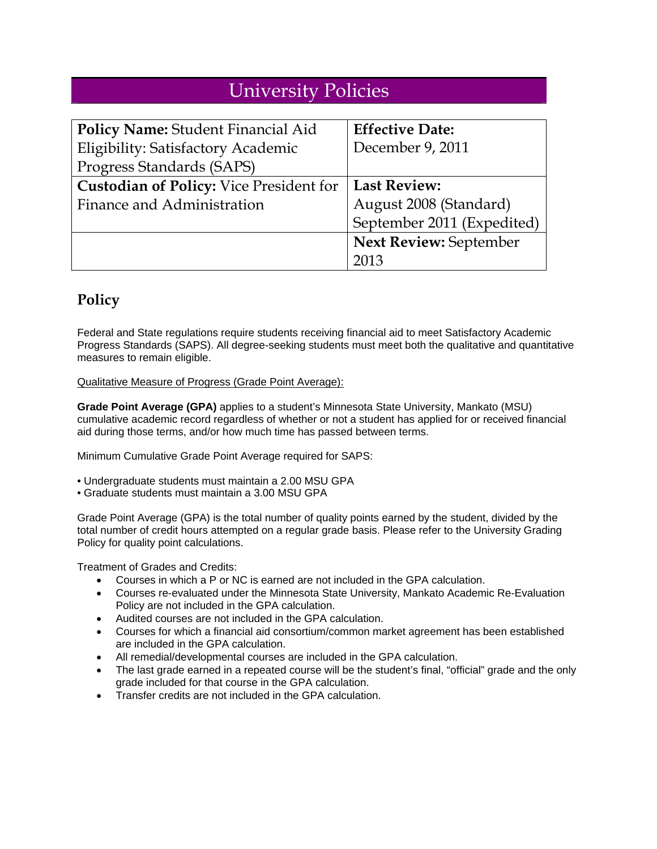# University Policies

| Policy Name: Student Financial Aid             | <b>Effective Date:</b>        |
|------------------------------------------------|-------------------------------|
| Eligibility: Satisfactory Academic             | December 9, 2011              |
| Progress Standards (SAPS)                      |                               |
| <b>Custodian of Policy:</b> Vice President for | <b>Last Review:</b>           |
| Finance and Administration                     | August 2008 (Standard)        |
|                                                | September 2011 (Expedited)    |
|                                                | <b>Next Review: September</b> |
|                                                |                               |

# **Policy**

Federal and State regulations require students receiving financial aid to meet Satisfactory Academic Progress Standards (SAPS). All degree-seeking students must meet both the qualitative and quantitative measures to remain eligible.

Qualitative Measure of Progress (Grade Point Average):

**Grade Point Average (GPA)** applies to a student's Minnesota State University, Mankato (MSU) cumulative academic record regardless of whether or not a student has applied for or received financial aid during those terms, and/or how much time has passed between terms.

Minimum Cumulative Grade Point Average required for SAPS:

- Undergraduate students must maintain a 2.00 MSU GPA
- Graduate students must maintain a 3.00 MSU GPA

Grade Point Average (GPA) is the total number of quality points earned by the student, divided by the total number of credit hours attempted on a regular grade basis. Please refer to the University Grading Policy for quality point calculations.

Treatment of Grades and Credits:

- Courses in which a P or NC is earned are not included in the GPA calculation.
- Courses re-evaluated under the Minnesota State University, Mankato Academic Re-Evaluation Policy are not included in the GPA calculation.
- Audited courses are not included in the GPA calculation.
- Courses for which a financial aid consortium/common market agreement has been established are included in the GPA calculation.
- All remedial/developmental courses are included in the GPA calculation.
- The last grade earned in a repeated course will be the student's final, "official" grade and the only grade included for that course in the GPA calculation.
- Transfer credits are not included in the GPA calculation.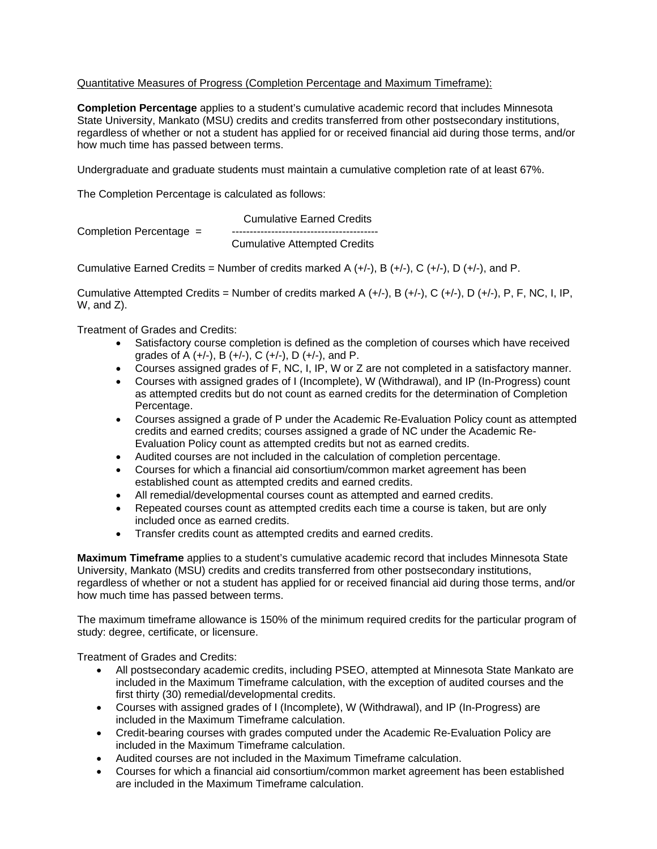### Quantitative Measures of Progress (Completion Percentage and Maximum Timeframe):

**Completion Percentage** applies to a student's cumulative academic record that includes Minnesota State University, Mankato (MSU) credits and credits transferred from other postsecondary institutions, regardless of whether or not a student has applied for or received financial aid during those terms, and/or how much time has passed between terms.

Undergraduate and graduate students must maintain a cumulative completion rate of at least 67%.

The Completion Percentage is calculated as follows:

 Cumulative Earned Credits Completion Percentage = Cumulative Attempted Credits

Cumulative Earned Credits = Number of credits marked A  $(+/-)$ , B  $(+/-)$ , C  $(+/-)$ , D  $(+/-)$ , and P.

Cumulative Attempted Credits = Number of credits marked A  $(+/-)$ , B  $(+/-)$ , C  $(+/-)$ , D  $(+/-)$ , P, F, NC, I, IP, W, and Z).

Treatment of Grades and Credits:

- Satisfactory course completion is defined as the completion of courses which have received grades of A  $(+/-)$ , B  $(+/-)$ , C  $(+/-)$ , D  $(+/-)$ , and P.
- Courses assigned grades of F, NC, I, IP, W or Z are not completed in a satisfactory manner.
- Courses with assigned grades of I (Incomplete), W (Withdrawal), and IP (In-Progress) count as attempted credits but do not count as earned credits for the determination of Completion Percentage.
- Courses assigned a grade of P under the Academic Re-Evaluation Policy count as attempted credits and earned credits; courses assigned a grade of NC under the Academic Re-Evaluation Policy count as attempted credits but not as earned credits.
- Audited courses are not included in the calculation of completion percentage.
- Courses for which a financial aid consortium/common market agreement has been established count as attempted credits and earned credits.
- All remedial/developmental courses count as attempted and earned credits.
- Repeated courses count as attempted credits each time a course is taken, but are only included once as earned credits.
- Transfer credits count as attempted credits and earned credits.

**Maximum Timeframe** applies to a student's cumulative academic record that includes Minnesota State University, Mankato (MSU) credits and credits transferred from other postsecondary institutions, regardless of whether or not a student has applied for or received financial aid during those terms, and/or how much time has passed between terms.

The maximum timeframe allowance is 150% of the minimum required credits for the particular program of study: degree, certificate, or licensure.

Treatment of Grades and Credits:

- All postsecondary academic credits, including PSEO, attempted at Minnesota State Mankato are included in the Maximum Timeframe calculation, with the exception of audited courses and the first thirty (30) remedial/developmental credits.
- Courses with assigned grades of I (Incomplete), W (Withdrawal), and IP (In-Progress) are included in the Maximum Timeframe calculation.
- Credit-bearing courses with grades computed under the Academic Re-Evaluation Policy are included in the Maximum Timeframe calculation.
- Audited courses are not included in the Maximum Timeframe calculation.
- Courses for which a financial aid consortium/common market agreement has been established are included in the Maximum Timeframe calculation.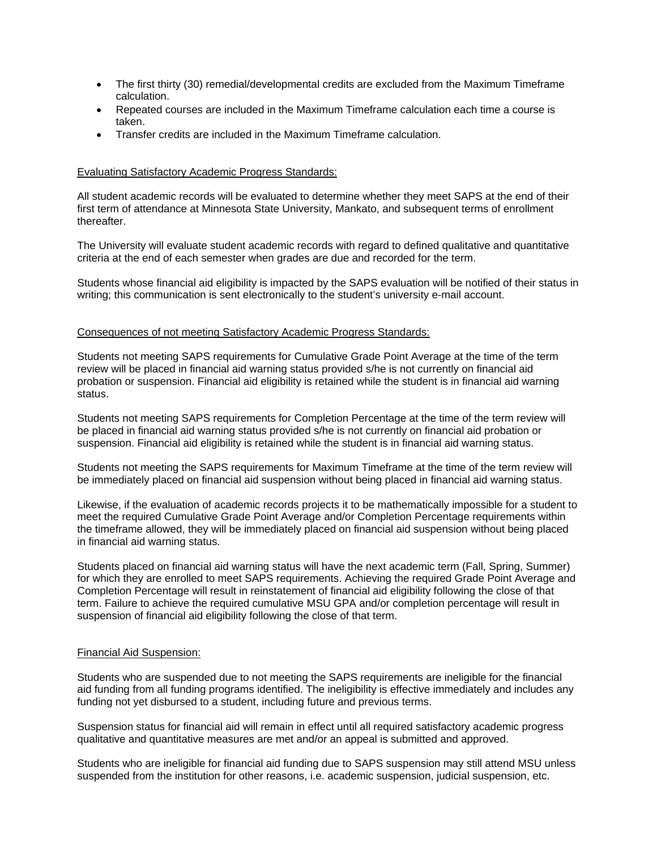- The first thirty (30) remedial/developmental credits are excluded from the Maximum Timeframe calculation.
- Repeated courses are included in the Maximum Timeframe calculation each time a course is taken.
- Transfer credits are included in the Maximum Timeframe calculation.

#### Evaluating Satisfactory Academic Progress Standards:

All student academic records will be evaluated to determine whether they meet SAPS at the end of their first term of attendance at Minnesota State University, Mankato, and subsequent terms of enrollment thereafter.

The University will evaluate student academic records with regard to defined qualitative and quantitative criteria at the end of each semester when grades are due and recorded for the term.

Students whose financial aid eligibility is impacted by the SAPS evaluation will be notified of their status in writing; this communication is sent electronically to the student's university e-mail account.

#### Consequences of not meeting Satisfactory Academic Progress Standards:

Students not meeting SAPS requirements for Cumulative Grade Point Average at the time of the term review will be placed in financial aid warning status provided s/he is not currently on financial aid probation or suspension. Financial aid eligibility is retained while the student is in financial aid warning status.

Students not meeting SAPS requirements for Completion Percentage at the time of the term review will be placed in financial aid warning status provided s/he is not currently on financial aid probation or suspension. Financial aid eligibility is retained while the student is in financial aid warning status.

Students not meeting the SAPS requirements for Maximum Timeframe at the time of the term review will be immediately placed on financial aid suspension without being placed in financial aid warning status.

Likewise, if the evaluation of academic records projects it to be mathematically impossible for a student to meet the required Cumulative Grade Point Average and/or Completion Percentage requirements within the timeframe allowed, they will be immediately placed on financial aid suspension without being placed in financial aid warning status.

Students placed on financial aid warning status will have the next academic term (Fall, Spring, Summer) for which they are enrolled to meet SAPS requirements. Achieving the required Grade Point Average and Completion Percentage will result in reinstatement of financial aid eligibility following the close of that term. Failure to achieve the required cumulative MSU GPA and/or completion percentage will result in suspension of financial aid eligibility following the close of that term.

#### Financial Aid Suspension:

Students who are suspended due to not meeting the SAPS requirements are ineligible for the financial aid funding from all funding programs identified. The ineligibility is effective immediately and includes any funding not yet disbursed to a student, including future and previous terms.

Suspension status for financial aid will remain in effect until all required satisfactory academic progress qualitative and quantitative measures are met and/or an appeal is submitted and approved.

Students who are ineligible for financial aid funding due to SAPS suspension may still attend MSU unless suspended from the institution for other reasons, i.e. academic suspension, judicial suspension, etc.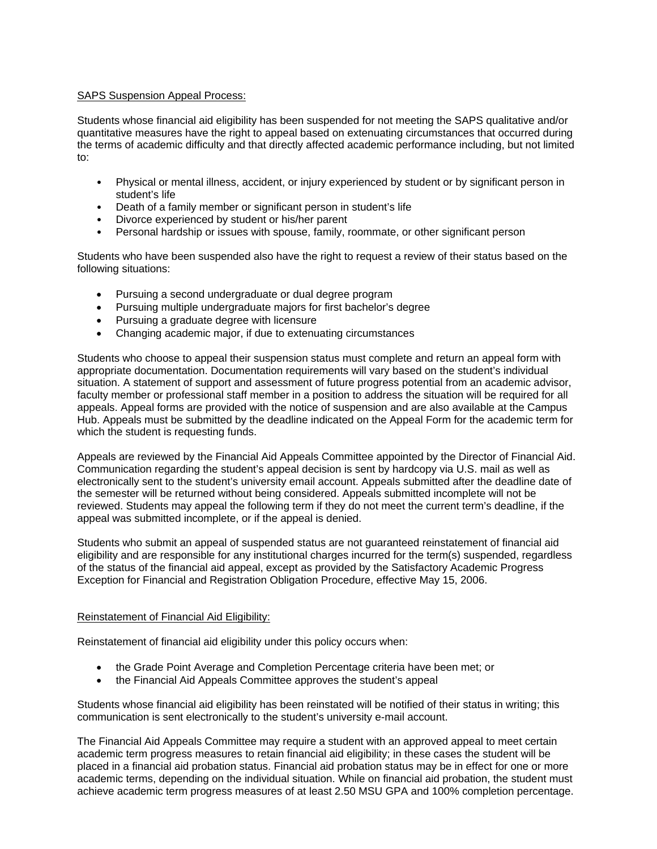#### SAPS Suspension Appeal Process:

Students whose financial aid eligibility has been suspended for not meeting the SAPS qualitative and/or quantitative measures have the right to appeal based on extenuating circumstances that occurred during the terms of academic difficulty and that directly affected academic performance including, but not limited to:

- Physical or mental illness, accident, or injury experienced by student or by significant person in student's life
- Death of a family member or significant person in student's life
- Divorce experienced by student or his/her parent
- Personal hardship or issues with spouse, family, roommate, or other significant person

Students who have been suspended also have the right to request a review of their status based on the following situations:

- Pursuing a second undergraduate or dual degree program
- Pursuing multiple undergraduate majors for first bachelor's degree
- Pursuing a graduate degree with licensure
- Changing academic major, if due to extenuating circumstances

Students who choose to appeal their suspension status must complete and return an appeal form with appropriate documentation. Documentation requirements will vary based on the student's individual situation. A statement of support and assessment of future progress potential from an academic advisor, faculty member or professional staff member in a position to address the situation will be required for all appeals. Appeal forms are provided with the notice of suspension and are also available at the Campus Hub. Appeals must be submitted by the deadline indicated on the Appeal Form for the academic term for which the student is requesting funds.

Appeals are reviewed by the Financial Aid Appeals Committee appointed by the Director of Financial Aid. Communication regarding the student's appeal decision is sent by hardcopy via U.S. mail as well as electronically sent to the student's university email account. Appeals submitted after the deadline date of the semester will be returned without being considered. Appeals submitted incomplete will not be reviewed. Students may appeal the following term if they do not meet the current term's deadline, if the appeal was submitted incomplete, or if the appeal is denied.

Students who submit an appeal of suspended status are not guaranteed reinstatement of financial aid eligibility and are responsible for any institutional charges incurred for the term(s) suspended, regardless of the status of the financial aid appeal, except as provided by the Satisfactory Academic Progress Exception for Financial and Registration Obligation Procedure, effective May 15, 2006.

### Reinstatement of Financial Aid Eligibility:

Reinstatement of financial aid eligibility under this policy occurs when:

- the Grade Point Average and Completion Percentage criteria have been met; or
- the Financial Aid Appeals Committee approves the student's appeal

Students whose financial aid eligibility has been reinstated will be notified of their status in writing; this communication is sent electronically to the student's university e-mail account.

The Financial Aid Appeals Committee may require a student with an approved appeal to meet certain academic term progress measures to retain financial aid eligibility; in these cases the student will be placed in a financial aid probation status. Financial aid probation status may be in effect for one or more academic terms, depending on the individual situation. While on financial aid probation, the student must achieve academic term progress measures of at least 2.50 MSU GPA and 100% completion percentage.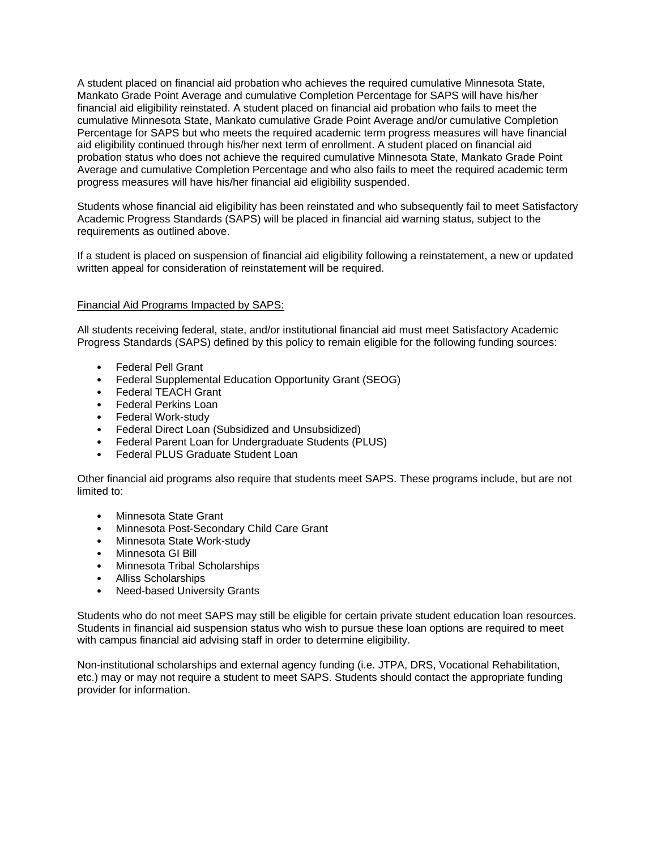A student placed on financial aid probation who achieves the required cumulative Minnesota State, Mankato Grade Point Average and cumulative Completion Percentage for SAPS will have his/her financial aid eligibility reinstated. A student placed on financial aid probation who fails to meet the cumulative Minnesota State, Mankato cumulative Grade Point Average and/or cumulative Completion Percentage for SAPS but who meets the required academic term progress measures will have financial aid eligibility continued through his/her next term of enrollment. A student placed on financial aid probation status who does not achieve the required cumulative Minnesota State, Mankato Grade Point Average and cumulative Completion Percentage and who also fails to meet the required academic term progress measures will have his/her financial aid eligibility suspended.

Students whose financial aid eligibility has been reinstated and who subsequently fail to meet Satisfactory Academic Progress Standards (SAPS) will be placed in financial aid warning status, subject to the requirements as outlined above.

If a student is placed on suspension of financial aid eligibility following a reinstatement, a new or updated written appeal for consideration of reinstatement will be required.

#### Financial Aid Programs Impacted by SAPS:

All students receiving federal, state, and/or institutional financial aid must meet Satisfactory Academic Progress Standards (SAPS) defined by this policy to remain eligible for the following funding sources:

- Federal Pell Grant
- Federal Supplemental Education Opportunity Grant (SEOG)
- Federal TEACH Grant
- Federal Perkins Loan
- Federal Work-study
- Federal Direct Loan (Subsidized and Unsubsidized)
- Federal Parent Loan for Undergraduate Students (PLUS)
- Federal PLUS Graduate Student Loan

Other financial aid programs also require that students meet SAPS. These programs include, but are not limited to:

- Minnesota State Grant
- Minnesota Post-Secondary Child Care Grant
- Minnesota State Work-study
- Minnesota GI Bill
- Minnesota Tribal Scholarships
- Alliss Scholarships
- Need-based University Grants

Students who do not meet SAPS may still be eligible for certain private student education loan resources. Students in financial aid suspension status who wish to pursue these loan options are required to meet with campus financial aid advising staff in order to determine eligibility.

Non-institutional scholarships and external agency funding (i.e. JTPA, DRS, Vocational Rehabilitation, etc.) may or may not require a student to meet SAPS. Students should contact the appropriate funding provider for information.